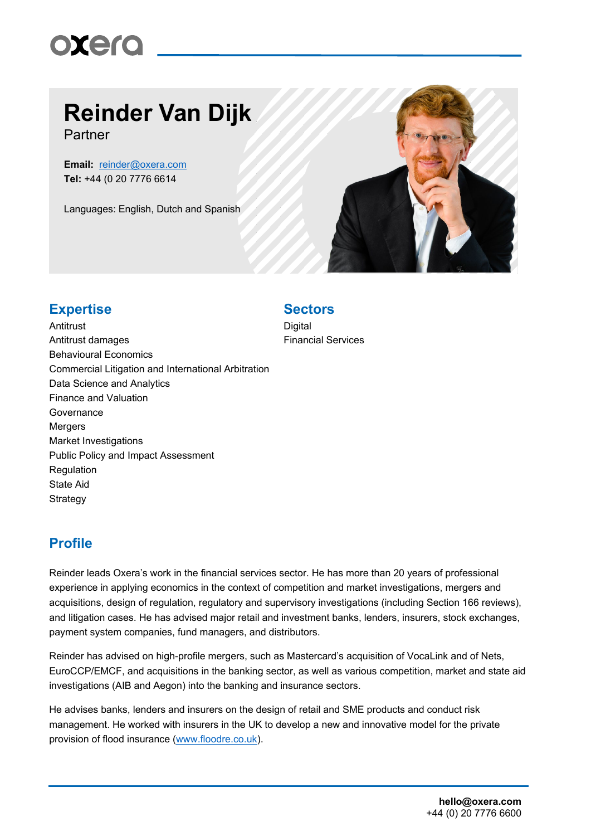

# **Reinder Van Dijk**

Partner

**Email:** [reinder@oxera.com](mailto:reinder@oxera.com) **Tel:** +44 (0 20 7776 6614

Languages: English, Dutch and Spanish



### **Expertise Sectors**

**Antitrust** Antitrust damages Behavioural Economics Commercial Litigation and International Arbitration Data Science and Analytics Finance and Valuation **Governance** Mergers Market Investigations Public Policy and Impact Assessment Regulation State Aid **Strategy** 

**Digital** Financial Services

### **Profile**

Reinder leads Oxera's work in the financial services sector. He has more than 20 years of professional experience in applying economics in the context of competition and market investigations, mergers and acquisitions, design of regulation, regulatory and supervisory investigations (including Section 166 reviews), and litigation cases. He has advised major retail and investment banks, lenders, insurers, stock exchanges, payment system companies, fund managers, and distributors.

Reinder has advised on high-profile mergers, such as Mastercard's acquisition of VocaLink and of Nets, EuroCCP/EMCF, and acquisitions in the banking sector, as well as various competition, market and state aid investigations (AIB and Aegon) into the banking and insurance sectors.

He advises banks, lenders and insurers on the design of retail and SME products and conduct risk management. He worked with insurers in the UK to develop a new and innovative model for the private provision of flood insurance [\(www.floodre.co.uk\)](http://www.floodre.co.uk/).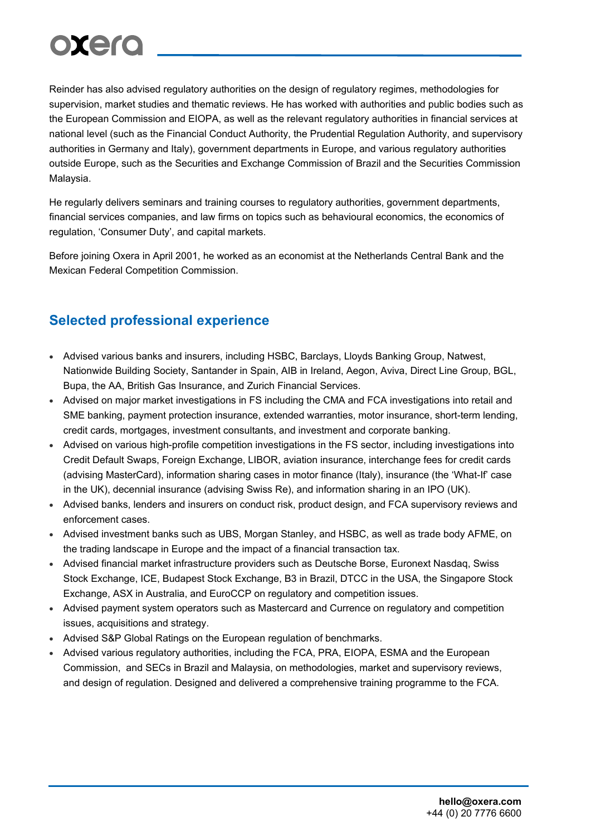Reinder has also advised regulatory authorities on the design of regulatory regimes, methodologies for supervision, market studies and thematic reviews. He has worked with authorities and public bodies such as the European Commission and EIOPA, as well as the relevant regulatory authorities in financial services at national level (such as the Financial Conduct Authority, the Prudential Regulation Authority, and supervisory authorities in Germany and Italy), government departments in Europe, and various regulatory authorities outside Europe, such as the Securities and Exchange Commission of Brazil and the Securities Commission Malaysia.

He regularly delivers seminars and training courses to regulatory authorities, government departments, financial services companies, and law firms on topics such as behavioural economics, the economics of regulation, 'Consumer Duty', and capital markets.

Before joining Oxera in April 2001, he worked as an economist at the Netherlands Central Bank and the Mexican Federal Competition Commission.

### **Selected professional experience**

- Advised various banks and insurers, including HSBC, Barclays, Lloyds Banking Group, Natwest, Nationwide Building Society, Santander in Spain, AIB in Ireland, Aegon, Aviva, Direct Line Group, BGL, Bupa, the AA, British Gas Insurance, and Zurich Financial Services.
- Advised on major market investigations in FS including the CMA and FCA investigations into retail and SME banking, payment protection insurance, extended warranties, motor insurance, short-term lending, credit cards, mortgages, investment consultants, and investment and corporate banking.
- Advised on various high-profile competition investigations in the FS sector, including investigations into Credit Default Swaps, Foreign Exchange, LIBOR, aviation insurance, interchange fees for credit cards (advising MasterCard), information sharing cases in motor finance (Italy), insurance (the 'What-If' case in the UK), decennial insurance (advising Swiss Re), and information sharing in an IPO (UK).
- Advised banks, lenders and insurers on conduct risk, product design, and FCA supervisory reviews and enforcement cases.
- Advised investment banks such as UBS, Morgan Stanley, and HSBC, as well as trade body AFME, on the trading landscape in Europe and the impact of a financial transaction tax.
- Advised financial market infrastructure providers such as Deutsche Borse, Euronext Nasdaq, Swiss Stock Exchange, ICE, Budapest Stock Exchange, B3 in Brazil, DTCC in the USA, the Singapore Stock Exchange, ASX in Australia, and EuroCCP on regulatory and competition issues.
- Advised payment system operators such as Mastercard and Currence on regulatory and competition issues, acquisitions and strategy.
- Advised S&P Global Ratings on the European regulation of benchmarks.
- Advised various regulatory authorities, including the FCA, PRA, EIOPA, ESMA and the European Commission, and SECs in Brazil and Malaysia, on methodologies, market and supervisory reviews, and design of regulation. Designed and delivered a comprehensive training programme to the FCA.